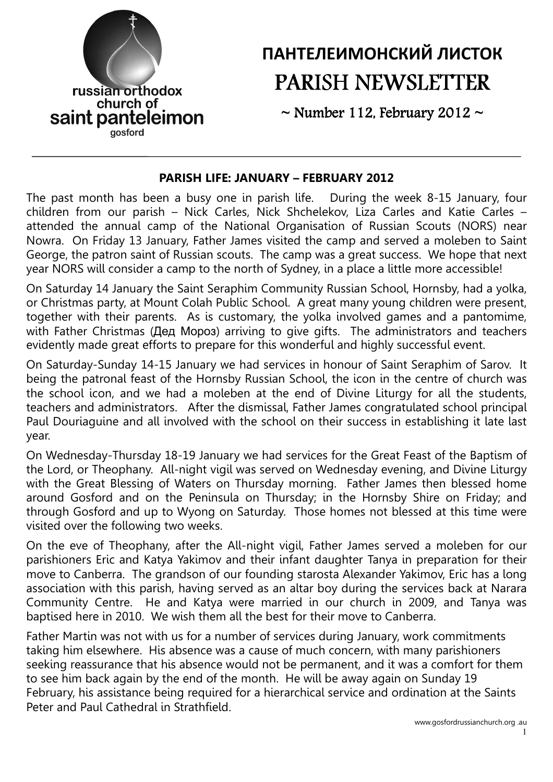

# ПАНТЕЛЕИМОНСКИЙ ЛИСТОК PARISH NEWSLETTER

 $\sim$  Number 112, February 2012  $\sim$ 

#### PARISH LIFE: JANUARY – FEBRUARY 2012

The past month has been a busy one in parish life. During the week 8-15 January, four children from our parish – Nick Carles, Nick Shchelekov, Liza Carles and Katie Carles – attended the annual camp of the National Organisation of Russian Scouts (NORS) near Nowra. On Friday 13 January, Father James visited the camp and served a moleben to Saint George, the patron saint of Russian scouts. The camp was a great success. We hope that next year NORS will consider a camp to the north of Sydney, in a place a little more accessible!

On Saturday 14 January the Saint Seraphim Community Russian School, Hornsby, had a yolka, or Christmas party, at Mount Colah Public School. A great many young children were present, together with their parents. As is customary, the yolka involved games and a pantomime, with Father Christmas (Дед Мороз) arriving to give gifts. The administrators and teachers evidently made great efforts to prepare for this wonderful and highly successful event.

On Saturday-Sunday 14-15 January we had services in honour of Saint Seraphim of Sarov. It being the patronal feast of the Hornsby Russian School, the icon in the centre of church was the school icon, and we had a moleben at the end of Divine Liturgy for all the students, teachers and administrators. After the dismissal, Father James congratulated school principal Paul Douriaguine and all involved with the school on their success in establishing it late last year.

On Wednesday-Thursday 18-19 January we had services for the Great Feast of the Baptism of the Lord, or Theophany. All-night vigil was served on Wednesday evening, and Divine Liturgy with the Great Blessing of Waters on Thursday morning. Father James then blessed home around Gosford and on the Peninsula on Thursday; in the Hornsby Shire on Friday; and through Gosford and up to Wyong on Saturday. Those homes not blessed at this time were visited over the following two weeks.

On the eve of Theophany, after the All-night vigil, Father James served a moleben for our parishioners Eric and Katya Yakimov and their infant daughter Tanya in preparation for their move to Canberra. The grandson of our founding starosta Alexander Yakimov, Eric has a long association with this parish, having served as an altar boy during the services back at Narara Community Centre. He and Katya were married in our church in 2009, and Tanya was baptised here in 2010. We wish them all the best for their move to Canberra.

Father Martin was not with us for a number of services during January, work commitments taking him elsewhere. His absence was a cause of much concern, with many parishioners seeking reassurance that his absence would not be permanent, and it was a comfort for them to see him back again by the end of the month. He will be away again on Sunday 19 February, his assistance being required for a hierarchical service and ordination at the Saints Peter and Paul Cathedral in Strathfield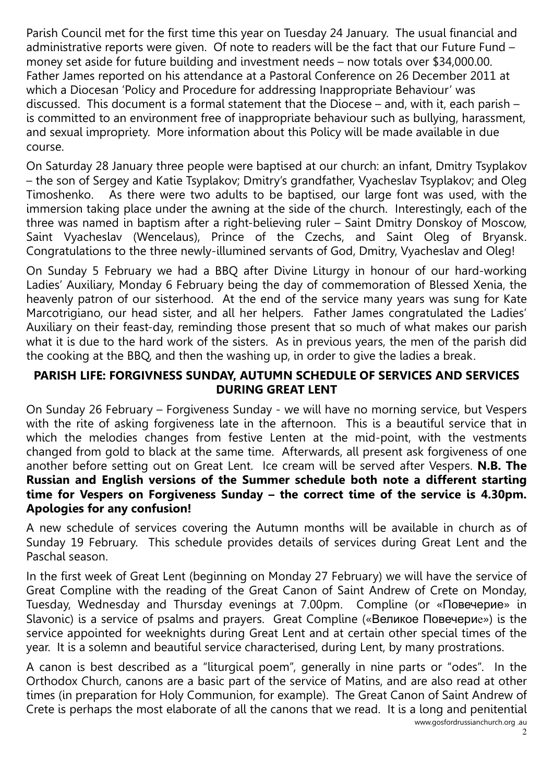Parish Council met for the first time this year on Tuesday 24 January. The usual financial and administrative reports were given. Of note to readers will be the fact that our Future Fund – money set aside for future building and investment needs – now totals over \$34,000.00. Father James reported on his attendance at a Pastoral Conference on 26 December 2011 at which a Diocesan 'Policy and Procedure for addressing Inappropriate Behaviour' was discussed. This document is a formal statement that the Diocese – and, with it, each parish – is committed to an environment free of inappropriate behaviour such as bullying, harassment, and sexual impropriety. More information about this Policy will be made available in due course.

On Saturday 28 January three people were baptised at our church: an infant, Dmitry Tsyplakov – the son of Sergey and Katie Tsyplakov; Dmitry's grandfather, Vyacheslav Tsyplakov; and Oleg Timoshenko. As there were two adults to be baptised, our large font was used, with the immersion taking place under the awning at the side of the church. Interestingly, each of the three was named in baptism after a right-believing ruler – Saint Dmitry Donskoy of Moscow, Saint Vyacheslav (Wencelaus), Prince of the Czechs, and Saint Oleg of Bryansk. Congratulations to the three newly-illumined servants of God, Dmitry, Vyacheslav and Oleg!

On Sunday 5 February we had a BBQ after Divine Liturgy in honour of our hard-working Ladies' Auxiliary, Monday 6 February being the day of commemoration of Blessed Xenia, the heavenly patron of our sisterhood. At the end of the service many years was sung for Kate Marcotrigiano, our head sister, and all her helpers. Father James congratulated the Ladies' Auxiliary on their feast-day, reminding those present that so much of what makes our parish what it is due to the hard work of the sisters. As in previous years, the men of the parish did the cooking at the BBQ, and then the washing up, in order to give the ladies a break.

#### PARISH LIFE: FORGIVNESS SUNDAY, AUTUMN SCHEDULE OF SERVICES AND SERVICES DURING GREAT LENT

On Sunday 26 February – Forgiveness Sunday - we will have no morning service, but Vespers with the rite of asking forgiveness late in the afternoon. This is a beautiful service that in which the melodies changes from festive Lenten at the mid-point, with the vestments changed from gold to black at the same time. Afterwards, all present ask forgiveness of one another before setting out on Great Lent. Ice cream will be served after Vespers. N.B. The Russian and English versions of the Summer schedule both note a different starting time for Vespers on Forgiveness Sunday – the correct time of the service is 4.30pm. Apologies for any confusion!

A new schedule of services covering the Autumn months will be available in church as of Sunday 19 February. This schedule provides details of services during Great Lent and the Paschal season.

In the first week of Great Lent (beginning on Monday 27 February) we will have the service of Great Compline with the reading of the Great Canon of Saint Andrew of Crete on Monday, Tuesday, Wednesday and Thursday evenings at 7.00pm. Compline (or «Повечерие» in Slavonic) is a service of psalms and prayers. Great Compline («Великое Повечерие») is the service appointed for weeknights during Great Lent and at certain other special times of the year. It is a solemn and beautiful service characterised, during Lent, by many prostrations.

A canon is best described as a "liturgical poem", generally in nine parts or "odes". In the Orthodox Church, canons are a basic part of the service of Matins, and are also read at other times (in preparation for Holy Communion, for example). The Great Canon of Saint Andrew of Crete is perhaps the most elaborate of all the canons that we read. It is a long and penitential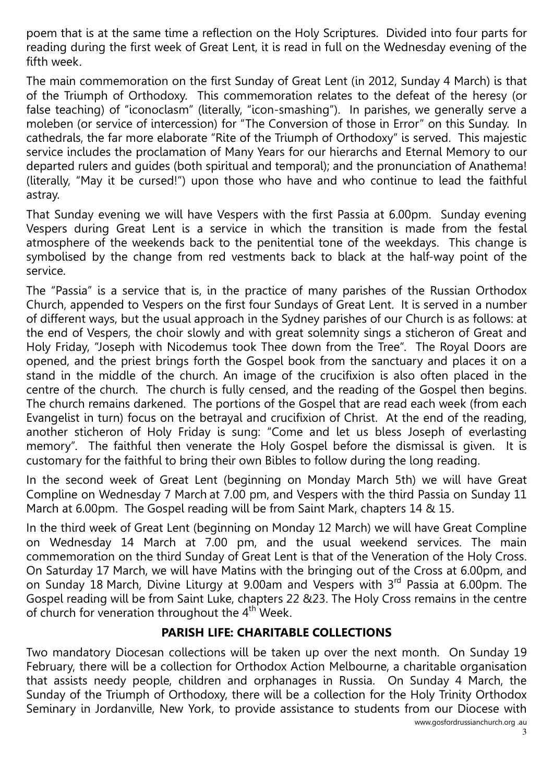poem that is at the same time a reflection on the Holy Scriptures. Divided into four parts for reading during the first week of Great Lent, it is read in full on the Wednesday evening of the fifth week.

The main commemoration on the first Sunday of Great Lent (in 2012, Sunday 4 March) is that of the Triumph of Orthodoxy. This commemoration relates to the defeat of the heresy (or false teaching) of "iconoclasm" (literally, "icon-smashing"). In parishes, we generally serve a moleben (or service of intercession) for "The Conversion of those in Error" on this Sunday. In cathedrals, the far more elaborate "Rite of the Triumph of Orthodoxy" is served. This majestic service includes the proclamation of Many Years for our hierarchs and Eternal Memory to our departed rulers and guides (both spiritual and temporal); and the pronunciation of Anathema! (literally, "May it be cursed!") upon those who have and who continue to lead the faithful astray.

That Sunday evening we will have Vespers with the first Passia at 6.00pm. Sunday evening Vespers during Great Lent is a service in which the transition is made from the festal atmosphere of the weekends back to the penitential tone of the weekdays. This change is symbolised by the change from red vestments back to black at the half-way point of the service.

The "Passia" is a service that is, in the practice of many parishes of the Russian Orthodox Church, appended to Vespers on the first four Sundays of Great Lent. It is served in a number of different ways, but the usual approach in the Sydney parishes of our Church is as follows: at the end of Vespers, the choir slowly and with great solemnity sings a sticheron of Great and Holy Friday, "Joseph with Nicodemus took Thee down from the Tree". The Royal Doors are opened, and the priest brings forth the Gospel book from the sanctuary and places it on a stand in the middle of the church. An image of the crucifixion is also often placed in the centre of the church. The church is fully censed, and the reading of the Gospel then begins. The church remains darkened. The portions of the Gospel that are read each week (from each Evangelist in turn) focus on the betrayal and crucifixion of Christ. At the end of the reading, another sticheron of Holy Friday is sung: "Come and let us bless Joseph of everlasting memory". The faithful then venerate the Holy Gospel before the dismissal is given. It is customary for the faithful to bring their own Bibles to follow during the long reading.

In the second week of Great Lent (beginning on Monday March 5th) we will have Great Compline on Wednesday 7 March at 7.00 pm, and Vespers with the third Passia on Sunday 11 March at 6.00pm. The Gospel reading will be from Saint Mark, chapters 14 & 15.

In the third week of Great Lent (beginning on Monday 12 March) we will have Great Compline on Wednesday 14 March at 7.00 pm, and the usual weekend services. The main commemoration on the third Sunday of Great Lent is that of the Veneration of the Holy Cross. On Saturday 17 March, we will have Matins with the bringing out of the Cross at 6.00pm, and on Sunday 18 March, Divine Liturgy at 9.00am and Vespers with 3<sup>rd</sup> Passia at 6.00pm. The Gospel reading will be from Saint Luke, chapters 22 &23. The Holy Cross remains in the centre of church for veneration throughout the 4<sup>th</sup> Week.

### PARISH LIFE: CHARITABLE COLLECTIONS

www.gosfordrussianchurch.org .au Two mandatory Diocesan collections will be taken up over the next month. On Sunday 19 February, there will be a collection for Orthodox Action Melbourne, a charitable organisation that assists needy people, children and orphanages in Russia. On Sunday 4 March, the Sunday of the Triumph of Orthodoxy, there will be a collection for the Holy Trinity Orthodox Seminary in Jordanville, New York, to provide assistance to students from our Diocese with